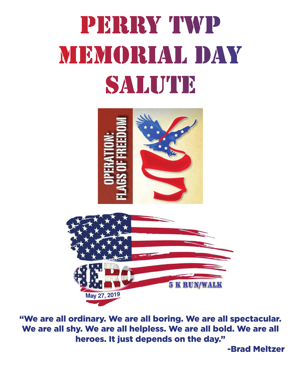# PERRY TWP MIEN (DRIAT. IDAV SALUTE



"We are all ordinary. We are all boring. We are all spectacular. We are all shy. We are all helpless. We are all bold. We are all heroes. It just depends on the day."

-Brad Meltzer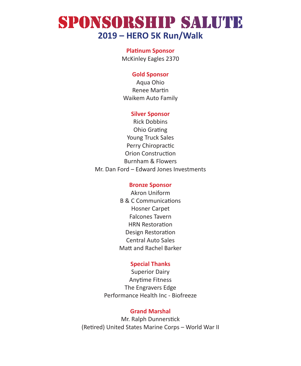### SPONSORSHIP SALUTE **2019 – HERO 5K Run/Walk**

#### **Platinum Sponsor**

McKinley Eagles 2370

#### **Gold Sponsor**

Aqua Ohio Renee Martin Waikem Auto Family

#### **Silver Sponsor**

Rick Dobbins Ohio Grating Young Truck Sales Perry Chiropractic Orion Construction Burnham & Flowers Mr. Dan Ford – Edward Jones Investments

#### **Bronze Sponsor**

Akron Uniform B & C Communications Hosner Carpet Falcones Tavern HRN Restoration Design Restoration Central Auto Sales Matt and Rachel Barker

#### **Special Thanks**

Superior Dairy Anytime Fitness The Engravers Edge Performance Health Inc - Biofreeze

#### **Grand Marshal**

Mr. Ralph Dunnerstick (Retired) United States Marine Corps – World War II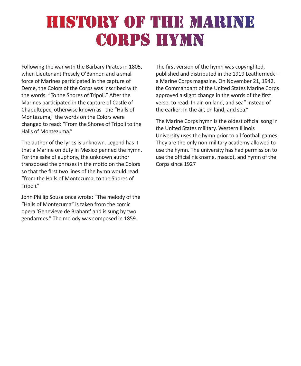### HISTORY OF THE MARINE **CORPS HYMN**

Following the war with the Barbary Pirates in 1805, when Lieutenant Presely O'Bannon and a small force of Marines participated in the capture of Deme, the Colors of the Corps was inscribed with the words: "To the Shores of Tripoli." After the Marines participated in the capture of Castle of Chapultepec, otherwise known as the "Halls of Montezuma," the words on the Colors were changed to read: "From the Shores of Tripoli to the Halls of Montezuma."

The author of the lyrics is unknown. Legend has it that a Marine on duty in Mexico penned the hymn. For the sake of euphony, the unknown author transposed the phrases in the motto on the Colors so that the first two lines of the hymn would read: "from the Halls of Montezuma, to the Shores of Tripoli."

John Phillip Sousa once wrote: "The melody of the "Halls of Montezuma" is taken from the comic opera 'Genevieve de Brabant' and is sung by two gendarmes." The melody was composed in 1859.

The first version of the hymn was copyrighted, published and distributed in the 1919 Leatherneck – a Marine Corps magazine. On November 21, 1942, the Commandant of the United States Marine Corps approved a slight change in the words of the first verse, to read: In air, on land, and sea" instead of the earlier: In the air, on land, and sea."

The Marine Corps hymn is the oldest official song in the United States military. Western Illinois University uses the hymn prior to all football games. They are the only non-military academy allowed to use the hymn. The university has had permission to use the official nickname, mascot, and hymn of the Corps since 1927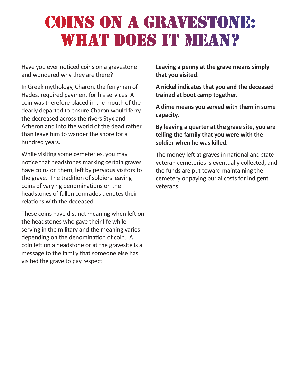### COINS ON A GRAVESTONE: **WHAT DOES IT MEAN?**

Have you ever noticed coins on a gravestone and wondered why they are there?

In Greek mythology, Charon, the ferryman of Hades, required payment for his services. A coin was therefore placed in the mouth of the dearly departed to ensure Charon would ferry the decreased across the rivers Styx and Acheron and into the world of the dead rather than leave him to wander the shore for a hundred years.

While visiting some cemeteries, you may notice that headstones marking certain graves have coins on them, left by pervious visitors to the grave. The tradition of soldiers leaving coins of varying denominations on the headstones of fallen comrades denotes their relations with the deceased.

These coins have distinct meaning when left on the headstones who gave their life while serving in the military and the meaning varies depending on the denomination of coin. A coin left on a headstone or at the gravesite is a message to the family that someone else has visited the grave to pay respect.

**Leaving a penny at the grave means simply that you visited.**

**A nickel indicates that you and the deceased trained at boot camp together.**

**A dime means you served with them in some capacity.**

**By leaving a quarter at the grave site, you are telling the family that you were with the soldier when he was killed.**

The money left at graves in national and state veteran cemeteries is eventually collected, and the funds are put toward maintaining the cemetery or paying burial costs for indigent veterans.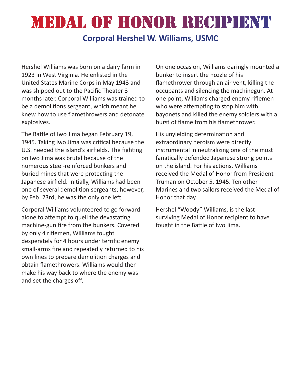## MEDAL OF HONOR RECIPIENT

### **Corporal Hershel W. Williams, USMC**

Hershel Williams was born on a dairy farm in 1923 in West Virginia. He enlisted in the United States Marine Corps in May 1943 and was shipped out to the Pacific Theater 3 months later. Corporal Williams was trained to be a demolitions sergeant, which meant he knew how to use flamethrowers and detonate explosives.

The Battle of Iwo Jima began February 19, 1945. Taking Iwo Jima was critical because the U.S. needed the island's airfields. The fighting on Iwo Jima was brutal because of the numerous steel-reinforced bunkers and buried mines that were protecting the Japanese airfield. Initially, Williams had been one of several demolition sergeants; however, by Feb. 23rd, he was the only one left.

Corporal Williams volunteered to go forward alone to attempt to quell the devastating machine-gun fire from the bunkers. Covered by only 4 riflemen, Williams fought desperately for 4 hours under terrific enemy small-arms fire and repeatedly returned to his own lines to prepare demolition charges and obtain flamethrowers. Williams would then make his way back to where the enemy was and set the charges off.

On one occasion, Williams daringly mounted a bunker to insert the nozzle of his flamethrower through an air vent, killing the occupants and silencing the machinegun. At one point, Williams charged enemy riflemen who were attempting to stop him with bayonets and killed the enemy soldiers with a burst of flame from his flamethrower.

His unyielding determination and extraordinary heroism were directly instrumental in neutralizing one of the most fanatically defended Japanese strong points on the island. For his actions, Williams received the Medal of Honor from President Truman on October 5, 1945. Ten other Marines and two sailors received the Medal of Honor that day.

Hershel "Woody" Williams, is the last surviving Medal of Honor recipient to have fought in the Battle of Iwo Jima.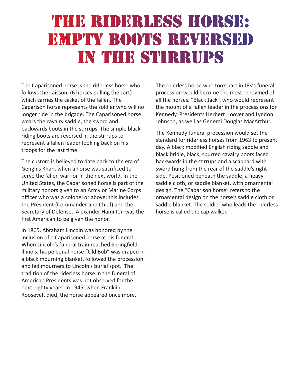### THE RIDERLESS HORSE: EMPTY BOOTS REVERSED IN THE STIRRUPS

The Caparisoned horse is the riderless horse who follows the caisson, (6 horses pulling the cart) which carries the casket of the fallen. The Caparison horse represents the soldier who will no longer ride in the brigade. The Caparisoned horse wears the cavalry saddle, the sword and backwards boots in the stirrups. The simple black riding boots are reversed in the stirrups to represent a fallen leader looking back on his troops for the last time.

The custom is believed to date back to the era of Genghis Khan, when a horse was sacrificed to serve the fallen warrior in the next world. In the United States, the Caparisoned horse is part of the military honors given to an Army or Marine Corps officer who was a colonel or above; this includes the President (Commander and Chief) and the Secretary of Defense. Alexander Hamilton was the first American to be given the honor.

In 1865, Abraham Lincoln was honored by the inclusion of a Caparisoned horse at his funeral. When Lincoln's funeral train reached Springfield, Illinois, his personal horse "Old Bob" was draped in a black mourning blanket, followed the procession and led mourners to Lincoln's burial spot. The tradition of the riderless horse in the funeral of American Presidents was not observed for the next eighty years. In 1945, when Franklin Roosevelt died, the horse appeared once more.

The riderless horse who took part in JFK's funeral procession would become the most renowned of all the horses. "Black Jack", who would represent the mount of a fallen leader in the processions for Kennedy, Presidents Herbert Hoover and Lyndon Johnson, as well as General Douglas MacArthur.

The Kennedy funeral procession would set the standard for riderless horses from 1963 to present day. A black modified English riding saddle and black bridle, black, spurred cavalry boots faced backwards in the stirrups and a scabbard with sword hung from the rear of the saddle's right side. Positioned beneath the saddle, a heavy saddle cloth, or saddle blanket, with ornamental design. The "Caparison horse" refers to the ornamental design on the horse's saddle cloth or saddle blanket. The soldier who leads the riderless horse is called the cap walker.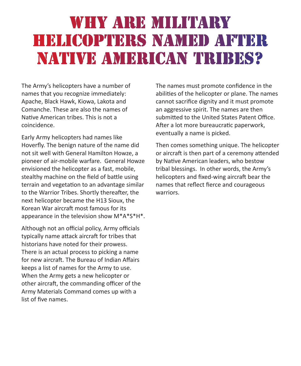## **WHY ARE MILITARY HELICOPTERS NAMED AFTER** NATIVE AMERICAN TRIBES?

The Army's helicopters have a number of names that you recognize immediately: Apache, Black Hawk, Kiowa, Lakota and Comanche. These are also the names of Native American tribes. This is not a coincidence.

Early Army helicopters had names like Hoverfly. The benign nature of the name did not sit well with General Hamilton Howze, a pioneer of air-mobile warfare. General Howze envisioned the helicopter as a fast, mobile, stealthy machine on the field of battle using terrain and vegetation to an advantage similar to the Warrior Tribes. Shortly thereafter, the next helicopter became the H13 Sioux, the Korean War aircraft most famous for its appearance in the television show M\*A\*S\*H\*.

Although not an official policy, Army officials typically name attack aircraft for tribes that historians have noted for their prowess. There is an actual process to picking a name for new aircraft. The Bureau of Indian Affairs keeps a list of names for the Army to use. When the Army gets a new helicopter or other aircraft, the commanding officer of the Army Materials Command comes up with a list of five names.

The names must promote confidence in the abilities of the helicopter or plane. The names cannot sacrifice dignity and it must promote an aggressive spirit. The names are then submitted to the United States Patent Office. After a lot more bureaucratic paperwork, eventually a name is picked.

Then comes something unique. The helicopter or aircraft is then part of a ceremony attended by Native American leaders, who bestow tribal blessings. In other words, the Army's helicopters and fixed-wing aircraft bear the names that reflect fierce and courageous warriors.